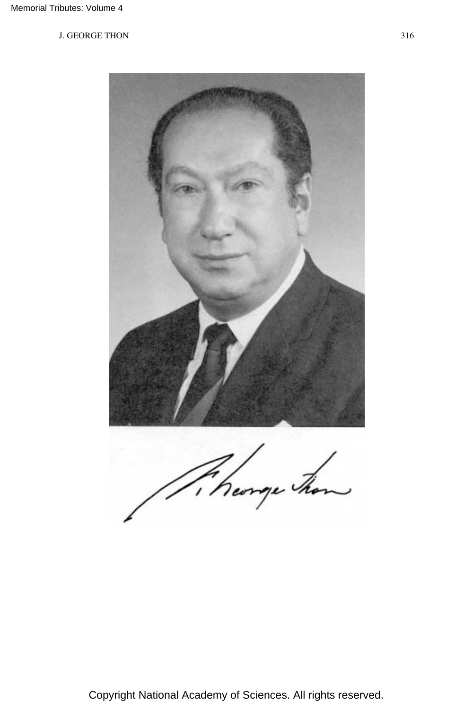

Copyright National Academy of Sciences. All rights reserved.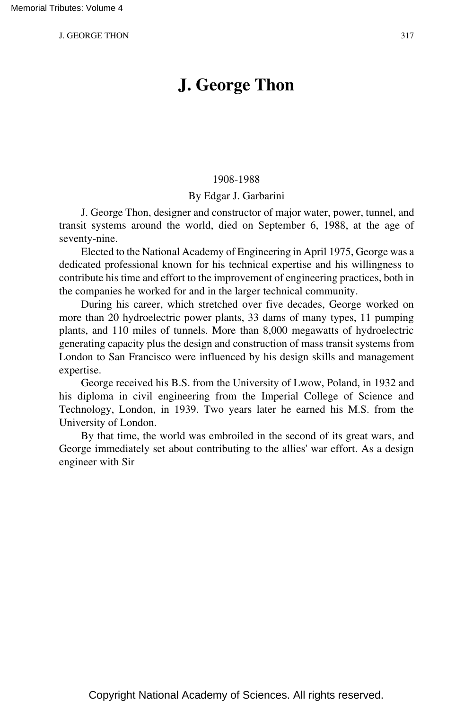# **J. George Thon**

#### 1908-1988

#### By Edgar J. Garbarini

J. George Thon, designer and constructor of major water, power, tunnel, and transit systems around the world, died on September 6, 1988, at the age of seventy-nine.

Elected to the National Academy of Engineering in April 1975, George was a dedicated professional known for his technical expertise and his willingness to contribute his time and effort to the improvement of engineering practices, both in the companies he worked for and in the larger technical community.

During his career, which stretched over five decades, George worked on more than 20 hydroelectric power plants, 33 dams of many types, 11 pumping plants, and 110 miles of tunnels. More than 8,000 megawatts of hydroelectric generating capacity plus the design and construction of mass transit systems from London to San Francisco were influenced by his design skills and management expertise.

George received his B.S. from the University of Lwow, Poland, in 1932 and his diploma in civil engineering from the Imperial College of Science and Technology, London, in 1939. Two years later he earned his M.S. from the University of London.

By that time, the world was embroiled in the second of its great wars, and George immediately set about contributing to the allies' war effort. As a design engineer with Sir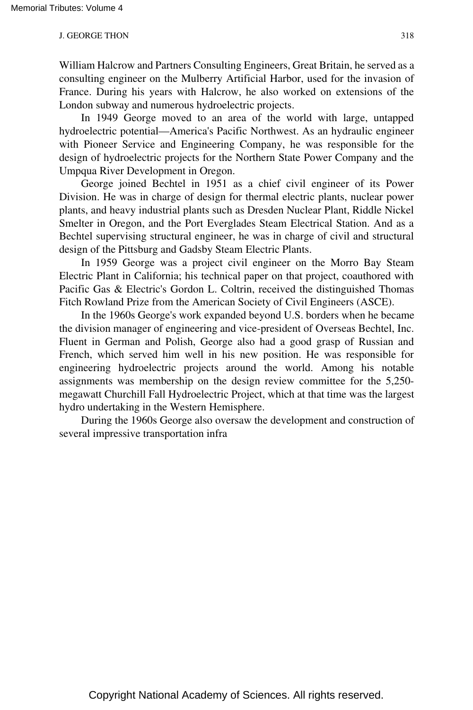William Halcrow and Partners Consulting Engineers, Great Britain, he served as a consulting engineer on the Mulberry Artificial Harbor, used for the invasion of France. During his years with Halcrow, he also worked on extensions of the London subway and numerous hydroelectric projects.

In 1949 George moved to an area of the world with large, untapped hydroelectric potential—America's Pacific Northwest. As an hydraulic engineer with Pioneer Service and Engineering Company, he was responsible for the design of hydroelectric projects for the Northern State Power Company and the Umpqua River Development in Oregon.

George joined Bechtel in 1951 as a chief civil engineer of its Power Division. He was in charge of design for thermal electric plants, nuclear power plants, and heavy industrial plants such as Dresden Nuclear Plant, Riddle Nickel Smelter in Oregon, and the Port Everglades Steam Electrical Station. And as a Bechtel supervising structural engineer, he was in charge of civil and structural design of the Pittsburg and Gadsby Steam Electric Plants.

In 1959 George was a project civil engineer on the Morro Bay Steam Electric Plant in California; his technical paper on that project, coauthored with Pacific Gas & Electric's Gordon L. Coltrin, received the distinguished Thomas Fitch Rowland Prize from the American Society of Civil Engineers (ASCE).

In the 1960s George's work expanded beyond U.S. borders when he became the division manager of engineering and vice-president of Overseas Bechtel, Inc. Fluent in German and Polish, George also had a good grasp of Russian and French, which served him well in his new position. He was responsible for engineering hydroelectric projects around the world. Among his notable assignments was membership on the design review committee for the 5,250 megawatt Churchill Fall Hydroelectric Project, which at that time was the largest hydro undertaking in the Western Hemisphere.

During the 1960s George also oversaw the development and construction of several impressive transportation infra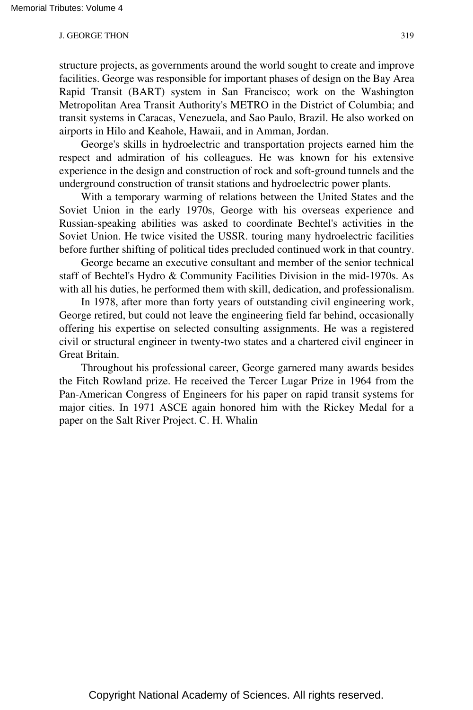structure projects, as governments around the world sought to create and improve facilities. George was responsible for important phases of design on the Bay Area Rapid Transit (BART) system in San Francisco; work on the Washington Metropolitan Area Transit Authority's METRO in the District of Columbia; and transit systems in Caracas, Venezuela, and Sao Paulo, Brazil. He also worked on airports in Hilo and Keahole, Hawaii, and in Amman, Jordan.

George's skills in hydroelectric and transportation projects earned him the respect and admiration of his colleagues. He was known for his extensive experience in the design and construction of rock and soft-ground tunnels and the underground construction of transit stations and hydroelectric power plants.

With a temporary warming of relations between the United States and the Soviet Union in the early 1970s, George with his overseas experience and Russian-speaking abilities was asked to coordinate Bechtel's activities in the Soviet Union. He twice visited the USSR. touring many hydroelectric facilities before further shifting of political tides precluded continued work in that country.

George became an executive consultant and member of the senior technical staff of Bechtel's Hydro & Community Facilities Division in the mid-1970s. As with all his duties, he performed them with skill, dedication, and professionalism.

In 1978, after more than forty years of outstanding civil engineering work, George retired, but could not leave the engineering field far behind, occasionally offering his expertise on selected consulting assignments. He was a registered civil or structural engineer in twenty-two states and a chartered civil engineer in Great Britain.

Throughout his professional career, George garnered many awards besides the Fitch Rowland prize. He received the Tercer Lugar Prize in 1964 from the Pan-American Congress of Engineers for his paper on rapid transit systems for major cities. In 1971 ASCE again honored him with the Rickey Medal for a paper on the Salt River Project. C. H. Whalin